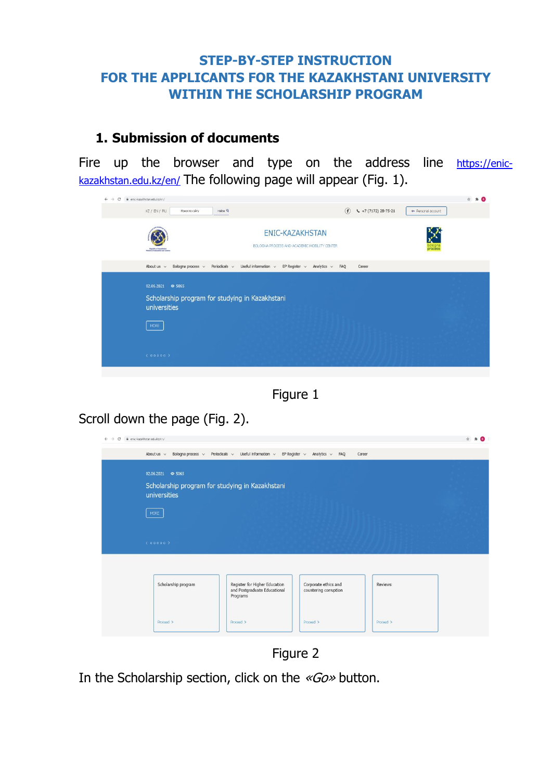#### **STEP-BY-STEP INSTRUCTION FOR THE APPLICANTS FOR THE KAZAKHSTANI UNIVERSITY WITHIN THE SCHOLARSHIP PROGRAM**

### **1. Submission of documents**

Fire up the browser and type on the address line [https://enic](https://enic-kazakhstan.edu.kz/en/)[kazakhstan.edu.kz/en/](https://enic-kazakhstan.edu.kz/en/) The following page will appear (Fig. 1).





Scroll down the page (Fig. 2).

| About us $\sqrt{ }$ | Bologna process $\vee$ Periodicals $\vee$ Useful information $\vee$ EP Register $\vee$ Analytics $\vee$ FAQ |                                               | Career    |  |
|---------------------|-------------------------------------------------------------------------------------------------------------|-----------------------------------------------|-----------|--|
|                     |                                                                                                             |                                               |           |  |
| 02.06.2021 0 5065   |                                                                                                             |                                               |           |  |
|                     | Scholarship program for studying in Kazakhstani                                                             |                                               |           |  |
| universities        |                                                                                                             |                                               |           |  |
|                     |                                                                                                             |                                               |           |  |
| MORE                |                                                                                                             |                                               |           |  |
|                     |                                                                                                             |                                               |           |  |
|                     |                                                                                                             |                                               |           |  |
| (00000)             |                                                                                                             |                                               |           |  |
|                     |                                                                                                             |                                               |           |  |
|                     |                                                                                                             |                                               |           |  |
|                     |                                                                                                             |                                               |           |  |
| Scholarship program | Register for Higher Education<br>and Postgraduate Educational                                               | Corporate ethics and<br>countering corruption | Reviews   |  |
|                     | Programs                                                                                                    |                                               |           |  |
|                     |                                                                                                             |                                               |           |  |
| Proceed >           | Proceed >                                                                                                   | Proceed >                                     | Proceed > |  |
|                     |                                                                                                             |                                               |           |  |

Figure 2

In the Scholarship section, click on the «Go» button.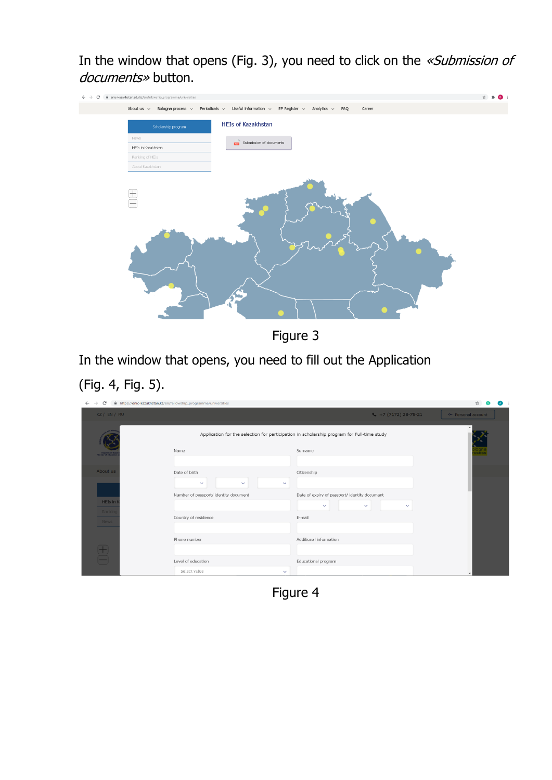In the window that opens (Fig. 3), you need to click on the «Submission of documents» button.

| i enic-kazakhstan.edu.kz/en/fellowship_programme/universities<br>C |                                                                                                            | $\bullet$ |
|--------------------------------------------------------------------|------------------------------------------------------------------------------------------------------------|-----------|
| About us $~\vee~$<br>Bologna process $\sim$                        | Useful information $\sim$<br>Periodicals $\sim$<br>EP Register $\sim$<br>Analytics $\sim$<br>FAQ<br>Career |           |
| Scholarship program                                                | <b>HEIs of Kazakhstan</b>                                                                                  |           |
| <b>News</b>                                                        | Submission of documents                                                                                    |           |
| HEIs in Kazakhstan                                                 |                                                                                                            |           |
| Ranking of HEIs                                                    |                                                                                                            |           |
| About Kazakhstan                                                   |                                                                                                            |           |
| $\overline{+}$<br>□                                                |                                                                                                            |           |

Figure 3

In the window that opens, you need to fill out the Application (Fig. 4, Fig. 5).

| $\rightarrow$<br>C<br>$\leftarrow$     | https://enic-kazakhstan.kz/en/fellowship_programme/universities |                                                                                            | ☆                   |
|----------------------------------------|-----------------------------------------------------------------|--------------------------------------------------------------------------------------------|---------------------|
| KZ / EN / RU                           |                                                                 | $\leftarrow$ +7 (7172) 28-75-21                                                            | ov Personal account |
|                                        |                                                                 | Application for the selection for participation in scholarship program for Full-time study |                     |
| Republic of Kar<br>Inistry of educatio | Name                                                            | Surname                                                                                    | logna<br>ocess      |
|                                        |                                                                 |                                                                                            |                     |
| About us                               | Date of birth                                                   | Citizenship                                                                                |                     |
|                                        | $\checkmark$<br>$\checkmark$<br>$\checkmark$                    |                                                                                            |                     |
|                                        | Number of passport/ identity document                           | Date of expiry of passport/ identity document                                              |                     |
| HEIs in                                |                                                                 | $\checkmark$<br>$\checkmark$<br>$\checkmark$                                               |                     |
| Rankine<br><b>News</b>                 | Country of residence                                            | E-mail                                                                                     |                     |
|                                        |                                                                 |                                                                                            |                     |
|                                        | Phone number                                                    | Additional information                                                                     |                     |
|                                        |                                                                 |                                                                                            |                     |
| $\bigoplus$                            | Level of education                                              | Educational program                                                                        |                     |
|                                        | Select value<br>$\checkmark$                                    |                                                                                            |                     |

Figure 4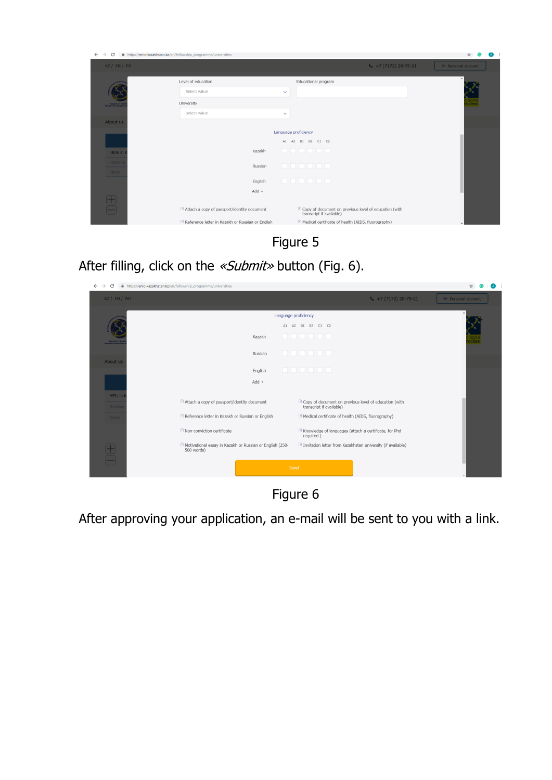

Figure 5

After filling, click on the «Submit» button (Fig. 6).

| $\rightarrow$<br>C                      | https://enic-kazakhstan.kz/en/fellowship_programme/universities                     |                                                                                                  |                    |
|-----------------------------------------|-------------------------------------------------------------------------------------|--------------------------------------------------------------------------------------------------|--------------------|
| KZ / EN / RU                            |                                                                                     | $\leftarrow$ +7 (7172) 28-75-21                                                                  | → Personal account |
|                                         |                                                                                     | Language proficiency                                                                             |                    |
|                                         |                                                                                     | A1 A2 B1 B2 C1 C2                                                                                |                    |
| Republic of Kar<br>Ministry of educatio | Kazakh                                                                              | _ _ _ _ _ _                                                                                      |                    |
|                                         | Russian                                                                             | _ _ _ _ _ _                                                                                      |                    |
| About us                                |                                                                                     |                                                                                                  |                    |
|                                         | English                                                                             | <b>.</b>                                                                                         |                    |
|                                         | $Add +$                                                                             |                                                                                                  |                    |
| HEIs in<br>Rankin                       | <sup>6</sup> Attach a copy of passport/identity document                            | <sup>[3]</sup> Copy of document on previous level of education (with<br>transcript if available) |                    |
| News                                    | <sup>n</sup> Reference letter in Kazakh or Russian or English                       | El Medical certificate of health (AIDS, fluorography)                                            |                    |
|                                         | <sup>8</sup> Non-conviction certificate                                             | <sup>[3]</sup> Knowledge of languages (attach a certificate, for Phd<br>required)                |                    |
|                                         | <sup>5</sup> Motivational essay in Kazakh or Russian or English (250-<br>500 words) | Invitation letter from Kazakhstan university (if available)                                      |                    |
| $\bigoplus_{i=1}^n$                     |                                                                                     |                                                                                                  |                    |
|                                         |                                                                                     | Send                                                                                             |                    |



After approving your application, an e-mail will be sent to you with a link.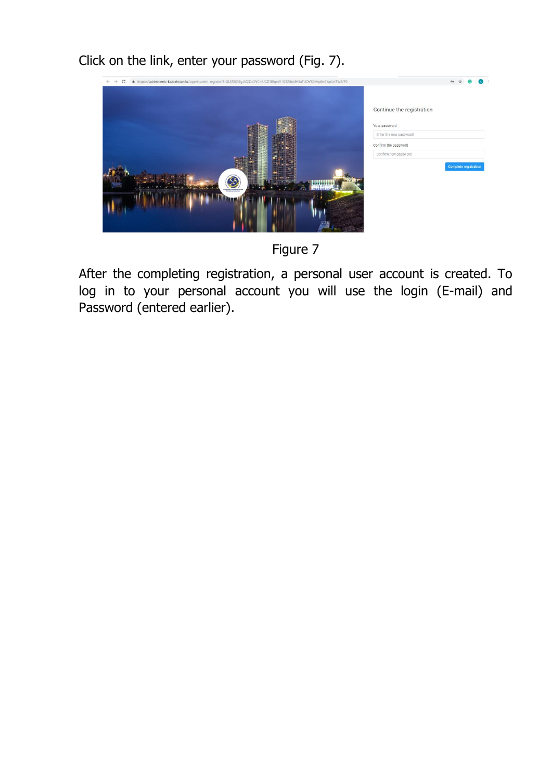Click on the link, enter your password (Fig. 7).



Figure 7

After the completing registration, a personal user account is created. To log in to your personal account you will use the login (E-mail) and Password (entered earlier).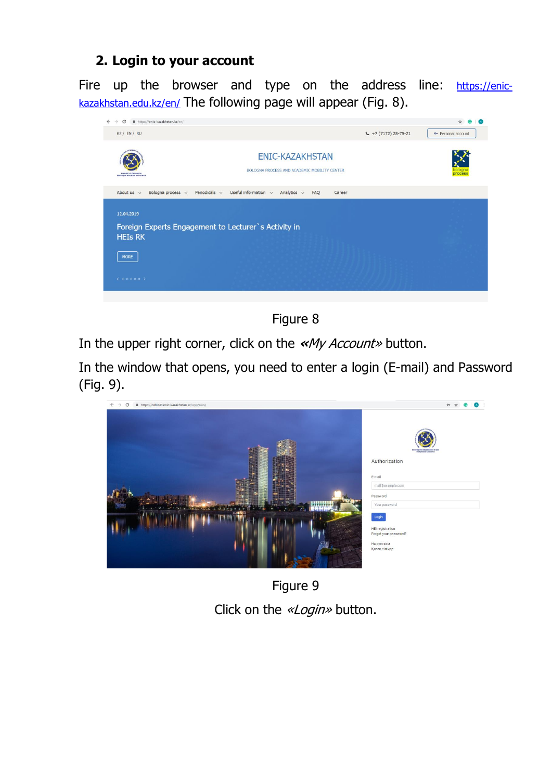## **2. Login to your account**

Fire up the browser and type on the address line: [https://enic](https://enic-kazakhstan.edu.kz/en/)[kazakhstan.edu.kz/en/](https://enic-kazakhstan.edu.kz/en/) The following page will appear (Fig. 8).



Figure 8

In the upper right corner, click on the **«**My Account» button.

In the window that opens, you need to enter a login (E-mail) and Password (Fig. 9).



Figure 9 Click on the «Login» button.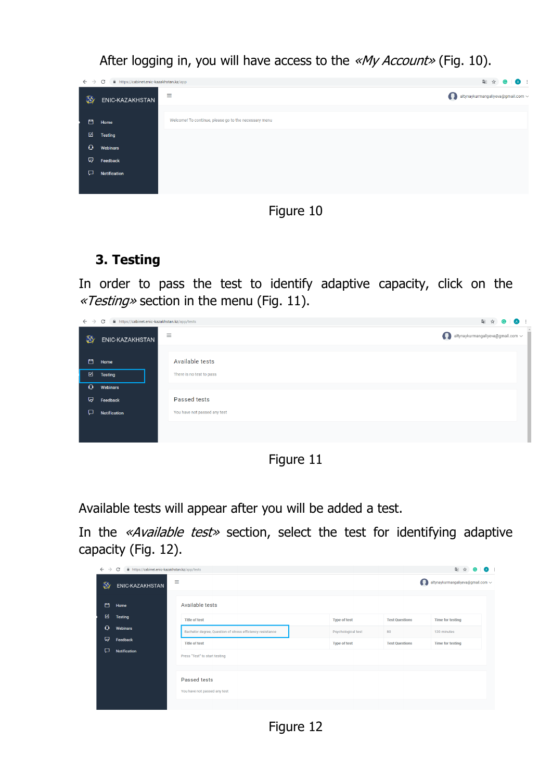$\leftarrow$   $\rightarrow$   $\mathcal{C}$   $\blacksquare$  https://cabinet.enic-kazakhstan.kz/app 图 ☆ ● | △ :  $\equiv$ altynaykurmangaliyeva@gmail.com **X** ENIC-KAZAKHSTAN el To continue, please go to the necess 白 Home  $\boxtimes$  Testing  $\Omega$  $\Box$ 

After logging in, you will have access to the «My Account» (Fig. 10).

Figure 10

# **3. Тesting**

In order to pass the test to identify adaptive capacity, click on the «Testing» section in the menu (Fig. 11).

| $\leftarrow$ $\rightarrow$ | C<br>https://cabinet.enic-kazakhstan.kz/app/tests | 图 ☆ <b>◎   △</b> :           |                                                                   |
|----------------------------|---------------------------------------------------|------------------------------|-------------------------------------------------------------------|
| $\circledcirc$             | ENIC-KAZAKHSTAN                                   | $\equiv$                     | $\mathbf \Omega$<br>altynaykurmangaliyeva@gmail.com $\smallsmile$ |
| 白                          | Home                                              | Available tests              |                                                                   |
| 囪                          | <b>Testing</b>                                    | There is no test to pass     |                                                                   |
| $\mathbf Q$                | Webinars                                          |                              |                                                                   |
| Q.                         | Feedback                                          | Passed tests                 |                                                                   |
| $\Box$                     | Notification                                      | You have not passed any test |                                                                   |
|                            |                                                   |                              |                                                                   |
|                            |                                                   |                              |                                                                   |

Figure 11

Available tests will appear after you will be added a test.

In the «*Available test*» section, select the test for identifying adaptive capacity (Fig. 12).

| $\rightarrow$<br>$\leftarrow$ | C<br>https://cabinet.enic-kazakhstan.kz/app/tests |                                                                                      |                     |                       | 图 ☆<br>$\overline{A}$             |
|-------------------------------|---------------------------------------------------|--------------------------------------------------------------------------------------|---------------------|-----------------------|-----------------------------------|
| Ø                             | ENIC-KAZAKHSTAN                                   | Ξ                                                                                    |                     | Ω                     | altynaykurmangaliyeva@gmail.com ~ |
| 門                             | Home                                              | Available tests                                                                      |                     |                       |                                   |
| 囪                             | <b>Testing</b>                                    | <b>Title of test</b>                                                                 | <b>Type of test</b> | <b>Test Questions</b> | <b>Time for testing</b>           |
| $\mathbf \Omega$              | <b>Webinars</b>                                   | Bachelor degree, Question of stress efficiency resistance                            | Psychological test  | 80                    | 120 minutes                       |
| ଢ଼                            | Feedback                                          | <b>Title of test</b>                                                                 | <b>Type of test</b> | <b>Test Questions</b> | <b>Time for testing</b>           |
| ₽                             | Notification                                      | Press "Test" to start testing<br><b>Passed tests</b><br>You have not passed any test |                     |                       |                                   |

Figure 12